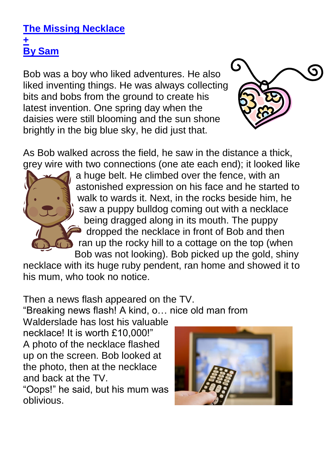## **The Missing Necklace + By Sam**

Bob was a boy who liked adventures. He also liked inventing things. He was always collecting bits and bobs from the ground to create his latest invention. One spring day when the daisies were still blooming and the sun shone brightly in the big blue sky, he did just that.



As Bob walked across the field, he saw in the distance a thick, grey wire with two connections (one ate each end); it looked like



a huge belt. He climbed over the fence, with an astonished expression on his face and he started to walk to wards it. Next, in the rocks beside him, he saw a puppy bulldog coming out with a necklace being dragged along in its mouth. The puppy dropped the necklace in front of Bob and then ran up the rocky hill to a cottage on the top (when Bob was not looking). Bob picked up the gold, shiny

necklace with its huge ruby pendent, ran home and showed it to his mum, who took no notice.

Then a news flash appeared on the TV.

"Breaking news flash! A kind, o… nice old man from

Walderslade has lost his valuable necklace! It is worth £10,000!" A photo of the necklace flashed up on the screen. Bob looked at the photo, then at the necklace and back at the TV.

"Oops!" he said, but his mum was oblivious.